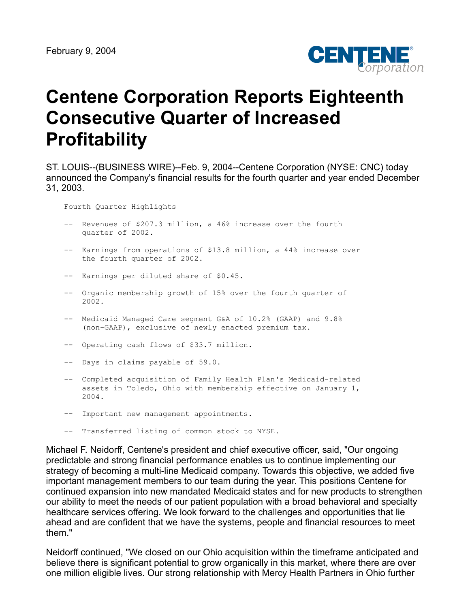

# **Centene Corporation Reports Eighteenth Consecutive Quarter of Increased Profitability**

ST. LOUIS--(BUSINESS WIRE)--Feb. 9, 2004--Centene Corporation (NYSE: CNC) today announced the Company's financial results for the fourth quarter and year ended December 31, 2003.

Fourth Quarter Highlights

- -- Revenues of \$207.3 million, a 46% increase over the fourth quarter of 2002.
- -- Earnings from operations of \$13.8 million, a 44% increase over the fourth quarter of 2002.
- -- Earnings per diluted share of \$0.45.
- -- Organic membership growth of 15% over the fourth quarter of 2002.
- -- Medicaid Managed Care segment G&A of 10.2% (GAAP) and 9.8% (non-GAAP), exclusive of newly enacted premium tax.
- -- Operating cash flows of \$33.7 million.
- -- Days in claims payable of 59.0.
- -- Completed acquisition of Family Health Plan's Medicaid-related assets in Toledo, Ohio with membership effective on January 1, 2004.
- -- Important new management appointments.
- -- Transferred listing of common stock to NYSE.

Michael F. Neidorff, Centene's president and chief executive officer, said, "Our ongoing predictable and strong financial performance enables us to continue implementing our strategy of becoming a multi-line Medicaid company. Towards this objective, we added five important management members to our team during the year. This positions Centene for continued expansion into new mandated Medicaid states and for new products to strengthen our ability to meet the needs of our patient population with a broad behavioral and specialty healthcare services offering. We look forward to the challenges and opportunities that lie ahead and are confident that we have the systems, people and financial resources to meet them."

Neidorff continued, "We closed on our Ohio acquisition within the timeframe anticipated and believe there is significant potential to grow organically in this market, where there are over one million eligible lives. Our strong relationship with Mercy Health Partners in Ohio further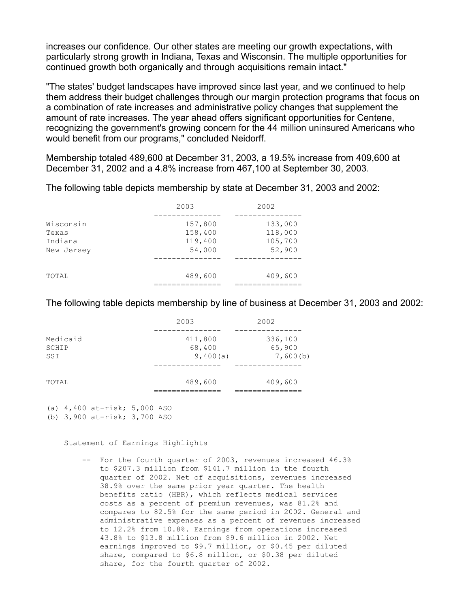increases our confidence. Our other states are meeting our growth expectations, with particularly strong growth in Indiana, Texas and Wisconsin. The multiple opportunities for continued growth both organically and through acquisitions remain intact."

"The states' budget landscapes have improved since last year, and we continued to help them address their budget challenges through our margin protection programs that focus on a combination of rate increases and administrative policy changes that supplement the amount of rate increases. The year ahead offers significant opportunities for Centene, recognizing the government's growing concern for the 44 million uninsured Americans who would benefit from our programs," concluded Neidorff.

Membership totaled 489,600 at December 31, 2003, a 19.5% increase from 409,600 at December 31, 2002 and a 4.8% increase from 467,100 at September 30, 2003.

The following table depicts membership by state at December 31, 2003 and 2002:

|                       | 2003               | 2002               |
|-----------------------|--------------------|--------------------|
| Wisconsin<br>Texas    | 157,800<br>158,400 | 133,000<br>118,000 |
| Indiana<br>New Jersey | 119,400<br>54,000  | 105,700<br>52,900  |
| TOTAL                 | 489,600            | 409,600            |
|                       |                    |                    |

The following table depicts membership by line of business at December 31, 2003 and 2002:

|                          | 2003                          | 2002                          |
|--------------------------|-------------------------------|-------------------------------|
| Medicaid<br>SCHIP<br>SSI | 411,800<br>68,400<br>9,400(a) | 336,100<br>65,900<br>7,600(b) |
|                          |                               |                               |
| TOTAL                    | 489,600                       | 409,600                       |

(a) 4,400 at-risk; 5,000 ASO

(b) 3,900 at-risk; 3,700 ASO

Statement of Earnings Highlights

 -- For the fourth quarter of 2003, revenues increased 46.3% to \$207.3 million from \$141.7 million in the fourth quarter of 2002. Net of acquisitions, revenues increased 38.9% over the same prior year quarter. The health benefits ratio (HBR), which reflects medical services costs as a percent of premium revenues, was 81.2% and compares to 82.5% for the same period in 2002. General and administrative expenses as a percent of revenues increased to 12.2% from 10.8%. Earnings from operations increased 43.8% to \$13.8 million from \$9.6 million in 2002. Net earnings improved to \$9.7 million, or \$0.45 per diluted share, compared to \$6.8 million, or \$0.38 per diluted share, for the fourth quarter of 2002.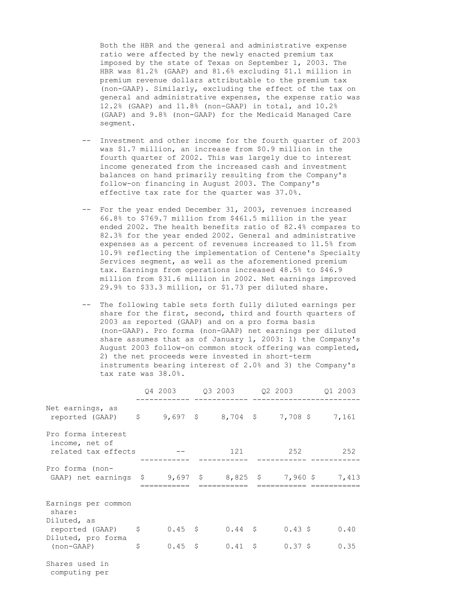Both the HBR and the general and administrative expense ratio were affected by the newly enacted premium tax imposed by the state of Texas on September 1, 2003. The HBR was 81.2% (GAAP) and 81.6% excluding \$1.1 million in premium revenue dollars attributable to the premium tax (non-GAAP). Similarly, excluding the effect of the tax on general and administrative expenses, the expense ratio was 12.2% (GAAP) and 11.8% (non-GAAP) in total, and 10.2% (GAAP) and 9.8% (non-GAAP) for the Medicaid Managed Care segment.

- -- Investment and other income for the fourth quarter of 2003 was \$1.7 million, an increase from \$0.9 million in the fourth quarter of 2002. This was largely due to interest income generated from the increased cash and investment balances on hand primarily resulting from the Company's follow-on financing in August 2003. The Company's effective tax rate for the quarter was 37.0%.
- -- For the year ended December 31, 2003, revenues increased 66.8% to \$769.7 million from \$461.5 million in the year ended 2002. The health benefits ratio of 82.4% compares to 82.3% for the year ended 2002. General and administrative expenses as a percent of revenues increased to 11.5% from 10.9% reflecting the implementation of Centene's Specialty Services segment, as well as the aforementioned premium tax. Earnings from operations increased 48.5% to \$46.9 million from \$31.6 million in 2002. Net earnings improved 29.9% to \$33.3 million, or \$1.73 per diluted share.
- -- The following table sets forth fully diluted earnings per share for the first, second, third and fourth quarters of 2003 as reported (GAAP) and on a pro forma basis (non-GAAP). Pro forma (non-GAAP) net earnings per diluted share assumes that as of January 1, 2003: 1) the Company's August 2003 follow-on common stock offering was completed, 2) the net proceeds were invested in short-term instruments bearing interest of 2.0% and 3) the Company's tax rate was 38.0%.

|                                                                                                                       |                          |              |           | 01 2003 |
|-----------------------------------------------------------------------------------------------------------------------|--------------------------|--------------|-----------|---------|
| Net earnings, as<br>reported (GAAP) \$ 9,697 \$ 8,704 \$ 7,708 \$ 7,161                                               |                          |              |           |         |
| Pro forma interest<br>income, net of<br>related tax effects                                                           |                          | 121          | 252       | 252     |
| Pro forma (non-<br>GAAP) net earnings $\frac{1}{5}$ 9,697 $\frac{1}{5}$ 8,825 $\frac{1}{5}$ 7,960 $\frac{1}{5}$ 7,413 |                          |              |           |         |
| Earnings per common<br>share:<br>Diluted, as<br>reported (GAAP) \$                                                    | $0.45$ \$                | $0.44 \pm$   | $0.43$ \$ | 0.40    |
| Diluted, pro forma<br>(non-GAAP)                                                                                      | \$<br>$0.45 \frac{1}{5}$ | $0.41 \pm 5$ | $0.37$ \$ | 0.35    |
| Shares used in                                                                                                        |                          |              |           |         |

computing per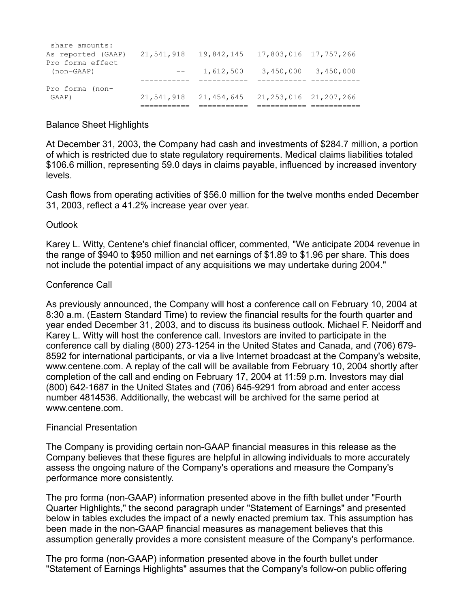| GAAP)              | 21,541,918                                     | 21,454,645 | 21, 253, 016 21, 207, 266 |           |
|--------------------|------------------------------------------------|------------|---------------------------|-----------|
| Pro forma (non-    |                                                |            |                           |           |
|                    |                                                |            |                           |           |
| $non-GARP)$        |                                                | 1,612,500  | 3,450,000                 | 3,450,000 |
| Pro forma effect   |                                                |            |                           |           |
| As reported (GAAP) | 21,541,918  19,842,145  17,803,016  17,757,266 |            |                           |           |
| share amounts:     |                                                |            |                           |           |

# Balance Sheet Highlights

At December 31, 2003, the Company had cash and investments of \$284.7 million, a portion of which is restricted due to state regulatory requirements. Medical claims liabilities totaled \$106.6 million, representing 59.0 days in claims payable, influenced by increased inventory levels.

Cash flows from operating activities of \$56.0 million for the twelve months ended December 31, 2003, reflect a 41.2% increase year over year.

## Outlook

Karey L. Witty, Centene's chief financial officer, commented, "We anticipate 2004 revenue in the range of \$940 to \$950 million and net earnings of \$1.89 to \$1.96 per share. This does not include the potential impact of any acquisitions we may undertake during 2004."

# Conference Call

As previously announced, the Company will host a conference call on February 10, 2004 at 8:30 a.m. (Eastern Standard Time) to review the financial results for the fourth quarter and year ended December 31, 2003, and to discuss its business outlook. Michael F. Neidorff and Karey L. Witty will host the conference call. Investors are invited to participate in the conference call by dialing (800) 273-1254 in the United States and Canada, and (706) 679- 8592 for international participants, or via a live Internet broadcast at the Company's website, www.centene.com. A replay of the call will be available from February 10, 2004 shortly after completion of the call and ending on February 17, 2004 at 11:59 p.m. Investors may dial (800) 642-1687 in the United States and (706) 645-9291 from abroad and enter access number 4814536. Additionally, the webcast will be archived for the same period at www.centene.com.

## Financial Presentation

The Company is providing certain non-GAAP financial measures in this release as the Company believes that these figures are helpful in allowing individuals to more accurately assess the ongoing nature of the Company's operations and measure the Company's performance more consistently.

The pro forma (non-GAAP) information presented above in the fifth bullet under "Fourth Quarter Highlights," the second paragraph under "Statement of Earnings" and presented below in tables excludes the impact of a newly enacted premium tax. This assumption has been made in the non-GAAP financial measures as management believes that this assumption generally provides a more consistent measure of the Company's performance.

The pro forma (non-GAAP) information presented above in the fourth bullet under "Statement of Earnings Highlights" assumes that the Company's follow-on public offering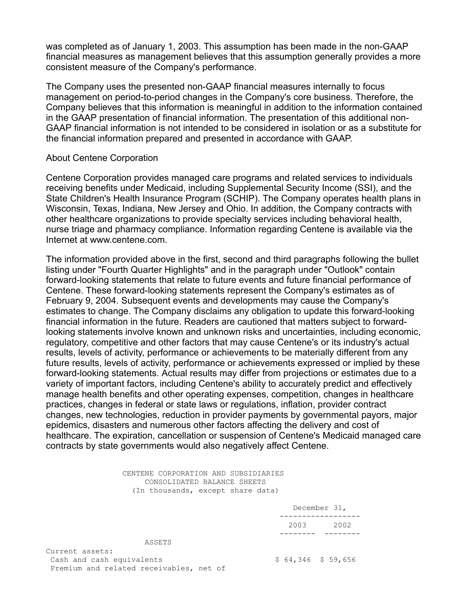was completed as of January 1, 2003. This assumption has been made in the non-GAAP financial measures as management believes that this assumption generally provides a more consistent measure of the Company's performance.

The Company uses the presented non-GAAP financial measures internally to focus management on period-to-period changes in the Company's core business. Therefore, the Company believes that this information is meaningful in addition to the information contained in the GAAP presentation of financial information. The presentation of this additional non-GAAP financial information is not intended to be considered in isolation or as a substitute for the financial information prepared and presented in accordance with GAAP.

#### About Centene Corporation

Centene Corporation provides managed care programs and related services to individuals receiving benefits under Medicaid, including Supplemental Security Income (SSI), and the State Children's Health Insurance Program (SCHIP). The Company operates health plans in Wisconsin, Texas, Indiana, New Jersey and Ohio. In addition, the Company contracts with other healthcare organizations to provide specialty services including behavioral health, nurse triage and pharmacy compliance. Information regarding Centene is available via the Internet at www.centene.com.

The information provided above in the first, second and third paragraphs following the bullet listing under "Fourth Quarter Highlights" and in the paragraph under "Outlook" contain forward-looking statements that relate to future events and future financial performance of Centene. These forward-looking statements represent the Company's estimates as of February 9, 2004. Subsequent events and developments may cause the Company's estimates to change. The Company disclaims any obligation to update this forward-looking financial information in the future. Readers are cautioned that matters subject to forwardlooking statements involve known and unknown risks and uncertainties, including economic, regulatory, competitive and other factors that may cause Centene's or its industry's actual results, levels of activity, performance or achievements to be materially different from any future results, levels of activity, performance or achievements expressed or implied by these forward-looking statements. Actual results may differ from projections or estimates due to a variety of important factors, including Centene's ability to accurately predict and effectively manage health benefits and other operating expenses, competition, changes in healthcare practices, changes in federal or state laws or regulations, inflation, provider contract changes, new technologies, reduction in provider payments by governmental payors, major epidemics, disasters and numerous other factors affecting the delivery and cost of healthcare. The expiration, cancellation or suspension of Centene's Medicaid managed care contracts by state governments would also negatively affect Centene.

#### CENTENE CORPORATION AND SUBSIDIARIES CONSOLIDATED BALANCE SHEETS (In thousands, except share data)

|                                         | December 31,        |      |
|-----------------------------------------|---------------------|------|
|                                         | 2003                | 2002 |
|                                         |                     |      |
| ASSETS                                  |                     |      |
| Current assets:                         |                     |      |
| Cash and cash equivalents               | $$64,346$ $$59,656$ |      |
| Premium and related receivables, net of |                     |      |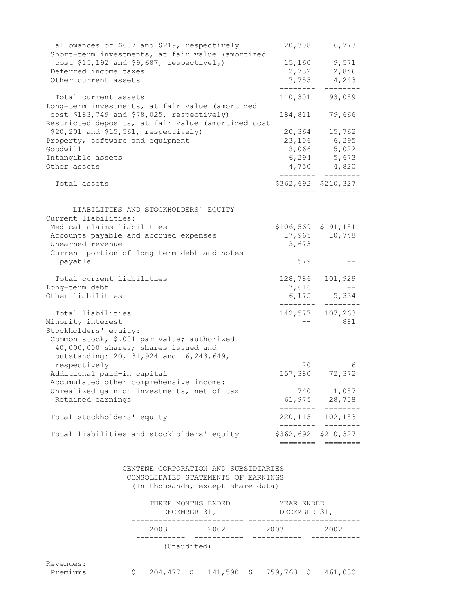| allowances of \$607 and \$219, respectively<br>Short-term investments, at fair value (amortized | 20,308                          | 16,773                 |
|-------------------------------------------------------------------------------------------------|---------------------------------|------------------------|
| $cost$ \$15,192 and \$9,687, respectively)                                                      | 15,160                          | 9,571                  |
| Deferred income taxes                                                                           | 2,732                           | 2,846                  |
| Other current assets                                                                            |                                 | 7,755 4,243<br>------- |
| Total current assets                                                                            |                                 | 110,301 93,089         |
| Long-term investments, at fair value (amortized<br>cost \$183,749 and \$78,025, respectively)   | 184,811                         | 79,666                 |
| Restricted deposits, at fair value (amortized cost<br>\$20,201 and \$15,561, respectively)      | 20,364                          | 15,762                 |
| Property, software and equipment                                                                |                                 | 23,106 6,295           |
| Goodwill                                                                                        |                                 | 13,066 5,022           |
| Intangible assets                                                                               |                                 | 6,294 5,673            |
| Other assets                                                                                    |                                 | $4,750$ $4,820$        |
| Total assets                                                                                    | \$362,692 \$210,327<br>======== |                        |
|                                                                                                 |                                 |                        |
| LIABILITIES AND STOCKHOLDERS' EQUITY                                                            |                                 |                        |
| Current liabilities:<br>Medical claims liabilities                                              |                                 |                        |
| Accounts payable and accrued expenses                                                           | $$106,569$ \$ 91,181            | 17,965 10,748          |
| Unearned revenue                                                                                | 3,673                           |                        |
| Current portion of long-term debt and notes                                                     |                                 |                        |
| payable                                                                                         | 579                             |                        |
| Total current liabilities                                                                       | ---------<br>128,786            | 101,929                |
| Long-term debt                                                                                  | 7,616                           |                        |
| Other liabilities                                                                               |                                 | 6,175 5,334            |
|                                                                                                 |                                 |                        |
| Total liabilities                                                                               | 142,577                         | 107,263                |
| Minority interest                                                                               |                                 | 881                    |
| Stockholders' equity:                                                                           |                                 |                        |
| Common stock, \$.001 par value; authorized                                                      |                                 |                        |
| 40,000,000 shares; shares issued and                                                            |                                 |                        |
| outstanding: 20, 131, 924 and 16, 243, 649,                                                     |                                 |                        |
| respectively                                                                                    | 20                              | 16                     |
| Additional paid-in capital                                                                      |                                 | 157,380 72,372         |
| Accumulated other comprehensive income:                                                         |                                 |                        |
| Unrealized gain on investments, net of tax                                                      | 740                             | 1,087                  |
| Retained earnings                                                                               | 61,975                          | 28,708                 |
| Total stockholders' equity                                                                      | 220,115<br>---------            | 102,183<br>---------   |
| Total liabilities and stockholders' equity                                                      | \$362,692 \$210,327             |                        |
|                                                                                                 |                                 | :=======     ========  |

 CENTENE CORPORATION AND SUBSIDIARIES CONSOLIDATED STATEMENTS OF EARNINGS (In thousands, except share data)

| THREE MONTHS ENDED<br>DECEMBER 31, |      | YEAR ENDED<br>DECEMBER 31, |      |  |  |
|------------------------------------|------|----------------------------|------|--|--|
| 2003                               | 2002 | 2003                       | 2002 |  |  |

(Unaudited)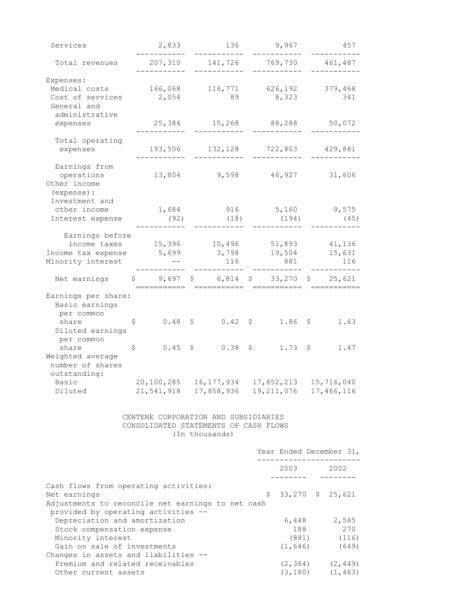| Services                                          | 2,833                                               |     | 136                |    | 9,967                           |     | 457                     |
|---------------------------------------------------|-----------------------------------------------------|-----|--------------------|----|---------------------------------|-----|-------------------------|
| Total revenues                                    | 207,310                                             |     | 141,726            |    | 769,730                         |     | 461,487                 |
| Expenses:                                         |                                                     |     |                    |    |                                 |     |                         |
| Medical costs                                     | 166,068                                             |     | 116,771            |    | 626,192                         |     | 379,468                 |
|                                                   |                                                     |     |                    |    |                                 |     |                         |
| Cost of services                                  | 2,054                                               |     | 89                 |    | 8,323                           |     | 341                     |
| General and                                       |                                                     |     |                    |    |                                 |     |                         |
| administrative                                    |                                                     |     |                    |    |                                 |     |                         |
| expenses                                          | 25,384                                              |     | 15,268             |    | 88,288                          |     | 50,072                  |
|                                                   |                                                     |     |                    |    |                                 |     |                         |
| Total operating                                   |                                                     |     |                    |    |                                 |     |                         |
| expenses                                          | 193,506                                             |     | 132,128            |    | 722,803                         |     | 429,881                 |
|                                                   |                                                     |     |                    |    |                                 |     |                         |
| Earnings from                                     |                                                     |     |                    |    |                                 |     |                         |
| operations                                        | 13,804                                              |     | 9,598              |    | 46,927                          |     | 31,606                  |
| Other income                                      |                                                     |     |                    |    |                                 |     |                         |
| (expense) :                                       |                                                     |     |                    |    |                                 |     |                         |
| Investment and                                    |                                                     |     |                    |    |                                 |     |                         |
| other income                                      | 1,684                                               |     | 916                |    | 5,160                           |     | 9,575                   |
| Interest expense                                  | (92)                                                |     | (18)               |    | (194)                           |     | (45)                    |
|                                                   |                                                     |     |                    |    |                                 |     |                         |
| Earnings before                                   |                                                     |     |                    |    |                                 |     |                         |
| income taxes                                      | 15,396                                              |     | 10,496             |    | 51,893                          |     | 41,136                  |
| Income tax expense                                | 5,699                                               |     | 3,798              |    | 19,504                          |     | 15,631                  |
| Minority interest                                 |                                                     |     | 116                |    | 881                             |     | 116                     |
| Net earnings                                      | 9,697<br>\$.                                        | Ş.  | $6,814$ \$ 33,270  |    |                                 |     | \$ 25,621               |
|                                                   |                                                     |     |                    |    |                                 |     |                         |
| Earnings per share:                               |                                                     |     |                    |    |                                 |     |                         |
| Basic earnings                                    |                                                     |     |                    |    |                                 |     |                         |
| per common                                        |                                                     |     |                    |    |                                 |     |                         |
| share                                             | 0.48<br>\$                                          | \$  | $0.42 \frac{1}{5}$ |    | 1.86                            | \$  | 1.63                    |
| Diluted earnings                                  |                                                     |     |                    |    |                                 |     |                         |
| per common                                        |                                                     |     |                    |    |                                 |     |                         |
| share                                             | \$<br>0.45                                          | \$. | $0.38$ \$          |    | 1.73                            | \$. | 1.47                    |
| Weighted average                                  |                                                     |     |                    |    |                                 |     |                         |
| number of shares                                  |                                                     |     |                    |    |                                 |     |                         |
| outstanding:                                      |                                                     |     |                    |    |                                 |     |                         |
| Basic                                             | 20,100,285                                          |     | 16,177,934         |    | 17,852,213                      |     | 15,716,040              |
| Diluted                                           | 21, 541, 918 17, 858, 936 19, 211, 076 17, 466, 116 |     |                    |    |                                 |     |                         |
|                                                   |                                                     |     |                    |    |                                 |     |                         |
|                                                   |                                                     |     |                    |    |                                 |     |                         |
|                                                   | CENTENE CORPORATION AND SUBSIDIARIES                |     |                    |    |                                 |     |                         |
|                                                   | CONSOLIDATED STATEMENTS OF CASH FLOWS               |     |                    |    |                                 |     |                         |
|                                                   |                                                     |     | (In thousands)     |    |                                 |     |                         |
|                                                   |                                                     |     |                    |    |                                 |     |                         |
|                                                   |                                                     |     |                    |    |                                 |     | Year Ended December 31, |
|                                                   |                                                     |     |                    |    | _________________<br>2003 — 100 |     | 2002                    |
|                                                   |                                                     |     |                    |    |                                 |     |                         |
| Cash flows from operating activities:             |                                                     |     |                    |    |                                 |     |                         |
| Net earnings                                      |                                                     |     |                    | \$ |                                 |     | 33,270 \$ 25,621        |
| Adjustments to reconcile net earnings to net cash |                                                     |     |                    |    |                                 |     |                         |
| provided by operating activities --               |                                                     |     |                    |    |                                 |     |                         |
| Depreciation and amortization                     |                                                     |     |                    |    | 6,448                           |     | 2,565                   |
|                                                   |                                                     |     |                    |    | 188                             |     | 270                     |
| Stock compensation expense                        |                                                     |     |                    |    |                                 |     |                         |
| Minority interest                                 |                                                     |     |                    |    | (881)                           |     | (116)                   |
| Gain on sale of investments                       |                                                     |     |                    |    | (1, 646)                        |     | (649)                   |
| Changes in assets and liabilities --              |                                                     |     |                    |    |                                 |     |                         |
| Premium and related receivables                   |                                                     |     |                    |    | (2, 364)                        |     | (2, 449)                |
| Other current assets                              |                                                     |     |                    |    | (3, 180)                        |     | (1, 463)                |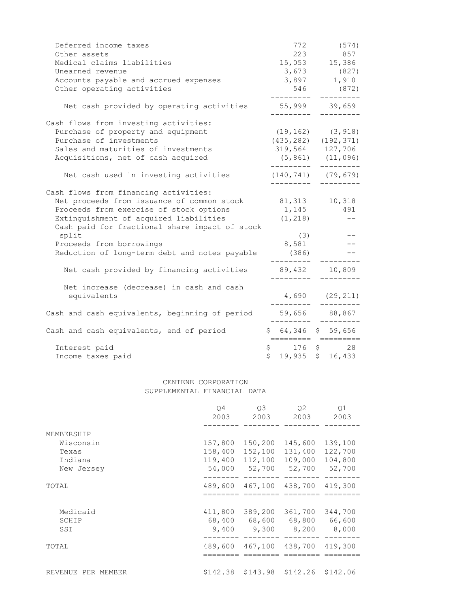| Deferred income taxes                                    | 772                  | (574)                     |
|----------------------------------------------------------|----------------------|---------------------------|
| Other assets                                             | 223                  | 857                       |
| Medical claims liabilities                               |                      | 15,053 15,386             |
| Unearned revenue                                         |                      | $3,673$ (827)             |
| Accounts payable and accrued expenses                    |                      | 3,897 1,910               |
| Other operating activities                               |                      | 546 (872)                 |
| Net cash provided by operating activities                |                      | 55,999 39,659             |
| Cash flows from investing activities:                    |                      |                           |
| Purchase of property and equipment                       |                      | $(19, 162)$ $(3, 918)$    |
| Purchase of investments                                  |                      | $(435, 282)$ $(192, 371)$ |
| Sales and maturities of investments                      | 319,564 127,706      |                           |
| Acquisitions, net of cash acquired                       |                      | $(5, 861)$ $(11, 096)$    |
| Net cash used in investing activities                    | ---------            | $(140, 741)$ $(79, 679)$  |
| Cash flows from financing activities:                    |                      |                           |
| Net proceeds from issuance of common stock 81,313 10,318 |                      |                           |
| Proceeds from exercise of stock options                  | 1, 145 491           |                           |
| Extinguishment of acquired liabilities                   | (1, 218)             | $\qquad \qquad -$         |
| Cash paid for fractional share impact of stock           |                      |                           |
| split                                                    | (3)                  |                           |
| Proceeds from borrowings                                 | 8,581                |                           |
| Reduction of long-term debt and notes payable            | (386)                |                           |
| Net cash provided by financing activities                | 89,432               | 10,809                    |
| Net increase (decrease) in cash and cash                 |                      |                           |
| equivalents                                              |                      | $4,690$ (29,211)          |
| Cash and cash equivalents, beginning of period           |                      | 59,656 88,867             |
| Cash and cash equivalents, end of period                 | $$64,346$$ $$59,656$ |                           |
| Interest paid                                            | $$176$ \$            | 28                        |
| Income taxes paid                                        | \$<br>19,935         | \$16,433                  |

#### CENTENE CORPORATION SUPPLEMENTAL FINANCIAL DATA

|                    | O4<br>2003 | O <sub>3</sub><br>2003 | 02<br>2003 | Q1<br>2003 |
|--------------------|------------|------------------------|------------|------------|
| MEMBERSHIP         |            |                        |            |            |
| Wisconsin          | 157,800    | 150,200                | 145,600    | 139,100    |
| Texas              | 158,400    | 152,100                | 131,400    | 122,700    |
| Indiana            | 119,400    | 112,100                | 109,000    | 104,800    |
| New Jersey         | 54,000     | 52,700                 | 52,700     | 52,700     |
| TOTAL              | 489,600    | 467,100                | 438,700    | 419,300    |
|                    |            |                        |            |            |
|                    |            |                        |            |            |
| Medicaid           | 411,800    | 389,200                | 361,700    | 344,700    |
| SCHIP              |            | 68,400 68,600          | 68,800     | 66,600     |
| SSI                | 9,400      | 9,300                  | 8,200      | 8,000      |
| TOTAL              | 489,600    | 467,100                | 438,700    | 419,300    |
|                    |            |                        |            |            |
| REVENUE PER MEMBER |            | $$142.38$ $$143.98$    | \$142.26   | \$142.06   |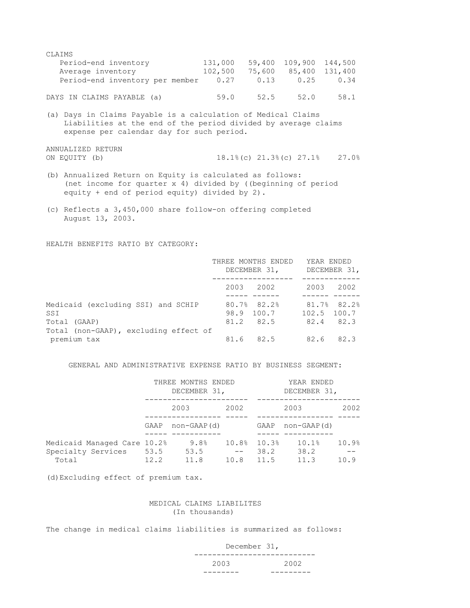CLAIMS Period-end inventory 131,000 59,400 109,900 144,500 Average inventory 102,500 75,600 85,400 131,400 Period-end inventory per member 0.27 0.13 0.25 0.34

DAYS IN CLAIMS PAYABLE (a) 59.0 52.5 52.0 58.1

(a) Days in Claims Payable is a calculation of Medical Claims Liabilities at the end of the period divided by average claims expense per calendar day for such period.

ANNUALIZED RETURN

ON EQUITY (b) 18.1%(c) 21.3%(c) 27.1% 27.0%

- (b) Annualized Return on Equity is calculated as follows: (net income for quarter x 4) divided by ((beginning of period equity + end of period equity) divided by 2).
- (c) Reflects a 3,450,000 share follow-on offering completed August 13, 2003.

HEALTH BENEFITS RATIO BY CATEGORY:

|                                                           | THREE MONTHS ENDED<br>DECEMBER 31,     | YEAR ENDED<br>DECEMBER 31,                  |  |  |
|-----------------------------------------------------------|----------------------------------------|---------------------------------------------|--|--|
|                                                           | 2003 2002                              | 2003<br>2002                                |  |  |
| Medicaid (excluding SSI) and SCHIP<br>SSI<br>Total (GAAP) | 80.7% 82.2%<br>98.9 100.7<br>81.2 82.5 | 81.7% 82.2%<br>$102.5$ $100.7$<br>82.4 82.3 |  |  |
| Total (non-GAAP), excluding effect of<br>premium tax      | 81.6 82.5                              | 82.6 82.3                                   |  |  |

#### GENERAL AND ADMINISTRATIVE EXPENSE RATIO BY BUSINESS SEGMENT:

|                                                        |      | THREE MONTHS ENDED<br>DECEMBER 31, |                |               | YEAR ENDED<br>DECEMBER 31, |       |
|--------------------------------------------------------|------|------------------------------------|----------------|---------------|----------------------------|-------|
|                                                        |      | 2003                               | 2002           |               | 2003                       | 2002  |
|                                                        | GAAP | non-GAAP(d)                        |                | GAAP          | non-GAAP (d)               |       |
| Medicaid Managed Care 10.2%<br>Specialty Services 53.5 |      | 9.8%<br>53.5                       | 10.8%<br>$- -$ | 10.3%<br>38.2 | 10.1%<br>38.2              | 10.9% |
| Total                                                  | 12.2 | 11.8                               | 10.8           | 11.5          | 11.3                       | 10.9  |

(d)Excluding effect of premium tax.

#### MEDICAL CLAIMS LIABILITES (In thousands)

The change in medical claims liabilities is summarized as follows:

 December 31, --------------------------- 2003 2002 -------- ---------